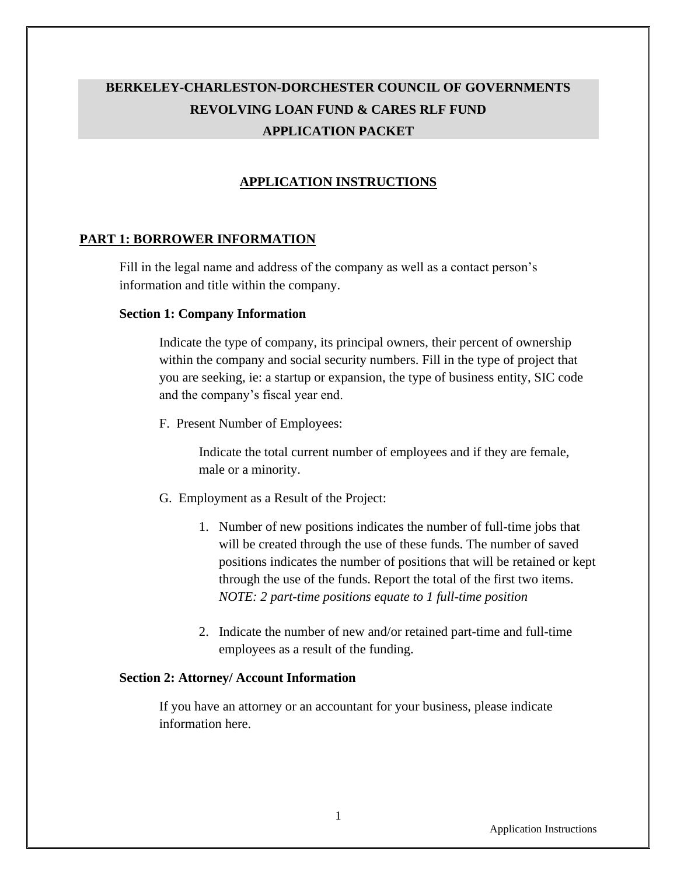# **BERKELEY-CHARLESTON-DORCHESTER COUNCIL OF GOVERNMENTS REVOLVING LOAN FUND & CARES RLF FUND APPLICATION PACKET**

## **APPLICATION INSTRUCTIONS**

## **PART 1: BORROWER INFORMATION**

Fill in the legal name and address of the company as well as a contact person's information and title within the company.

### **Section 1: Company Information**

Indicate the type of company, its principal owners, their percent of ownership within the company and social security numbers. Fill in the type of project that you are seeking, ie: a startup or expansion, the type of business entity, SIC code and the company's fiscal year end.

F. Present Number of Employees:

Indicate the total current number of employees and if they are female, male or a minority.

- G. Employment as a Result of the Project:
	- 1. Number of new positions indicates the number of full-time jobs that will be created through the use of these funds. The number of saved positions indicates the number of positions that will be retained or kept through the use of the funds. Report the total of the first two items. *NOTE: 2 part-time positions equate to 1 full-time position*
	- 2. Indicate the number of new and/or retained part-time and full-time employees as a result of the funding.

### **Section 2: Attorney/ Account Information**

If you have an attorney or an accountant for your business, please indicate information here.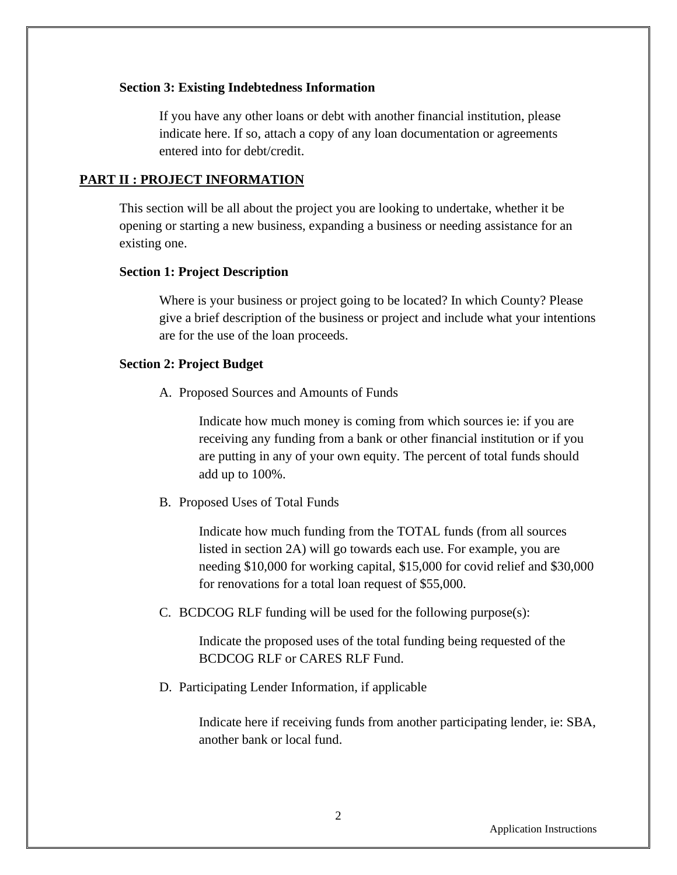### **Section 3: Existing Indebtedness Information**

If you have any other loans or debt with another financial institution, please indicate here. If so, attach a copy of any loan documentation or agreements entered into for debt/credit.

### **PART II : PROJECT INFORMATION**

This section will be all about the project you are looking to undertake, whether it be opening or starting a new business, expanding a business or needing assistance for an existing one.

### **Section 1: Project Description**

Where is your business or project going to be located? In which County? Please give a brief description of the business or project and include what your intentions are for the use of the loan proceeds.

#### **Section 2: Project Budget**

A. Proposed Sources and Amounts of Funds

Indicate how much money is coming from which sources ie: if you are receiving any funding from a bank or other financial institution or if you are putting in any of your own equity. The percent of total funds should add up to 100%.

B. Proposed Uses of Total Funds

Indicate how much funding from the TOTAL funds (from all sources listed in section 2A) will go towards each use. For example, you are needing \$10,000 for working capital, \$15,000 for covid relief and \$30,000 for renovations for a total loan request of \$55,000.

C. BCDCOG RLF funding will be used for the following purpose(s):

Indicate the proposed uses of the total funding being requested of the BCDCOG RLF or CARES RLF Fund.

D. Participating Lender Information, if applicable

Indicate here if receiving funds from another participating lender, ie: SBA, another bank or local fund.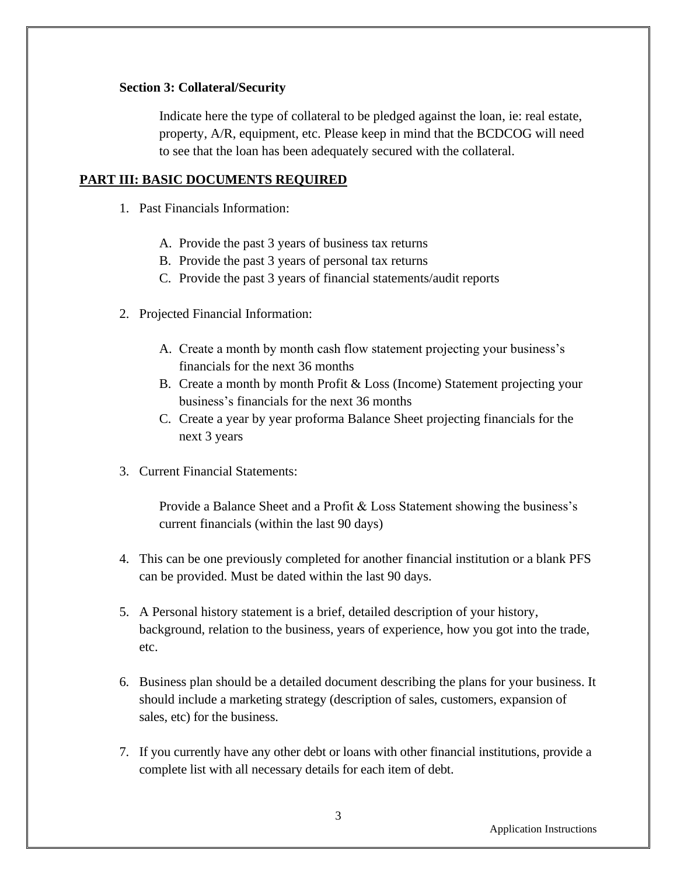### **Section 3: Collateral/Security**

Indicate here the type of collateral to be pledged against the loan, ie: real estate, property, A/R, equipment, etc. Please keep in mind that the BCDCOG will need to see that the loan has been adequately secured with the collateral.

## **PART III: BASIC DOCUMENTS REQUIRED**

- 1. Past Financials Information:
	- A. Provide the past 3 years of business tax returns
	- B. Provide the past 3 years of personal tax returns
	- C. Provide the past 3 years of financial statements/audit reports
- 2. Projected Financial Information:
	- A. Create a month by month cash flow statement projecting your business's financials for the next 36 months
	- B. Create a month by month Profit & Loss (Income) Statement projecting your business's financials for the next 36 months
	- C. Create a year by year proforma Balance Sheet projecting financials for the next 3 years
- 3. Current Financial Statements:

Provide a Balance Sheet and a Profit & Loss Statement showing the business's current financials (within the last 90 days)

- 4. This can be one previously completed for another financial institution or a blank PFS can be provided. Must be dated within the last 90 days.
- 5. A Personal history statement is a brief, detailed description of your history, background, relation to the business, years of experience, how you got into the trade, etc.
- 6. Business plan should be a detailed document describing the plans for your business. It should include a marketing strategy (description of sales, customers, expansion of sales, etc) for the business.
- 7. If you currently have any other debt or loans with other financial institutions, provide a complete list with all necessary details for each item of debt.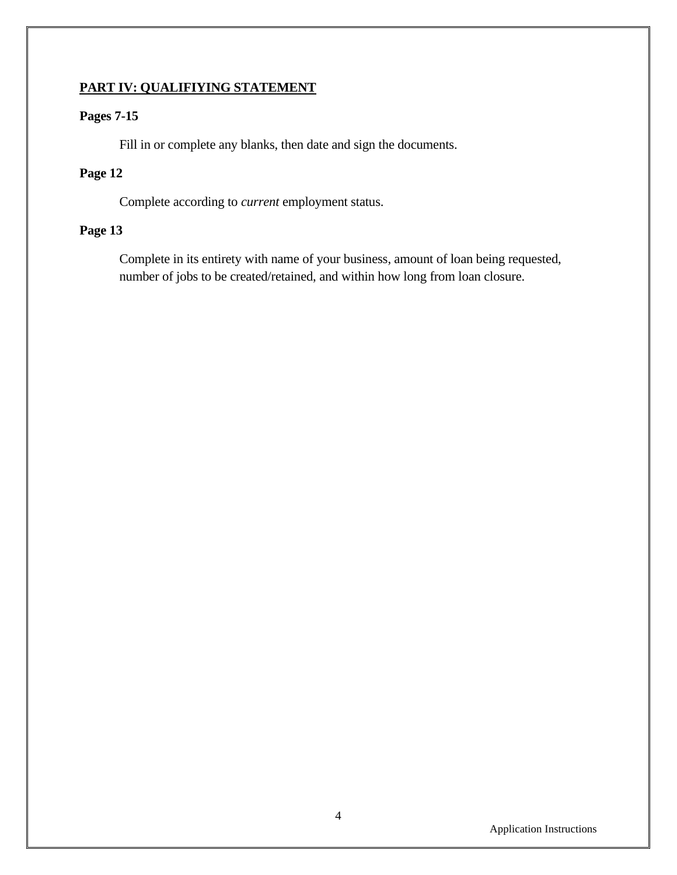## **PART IV: QUALIFIYING STATEMENT**

## **Pages 7-15**

Fill in or complete any blanks, then date and sign the documents.

## **Page 12**

Complete according to *current* employment status.

## **Page 13**

Complete in its entirety with name of your business, amount of loan being requested, number of jobs to be created/retained, and within how long from loan closure.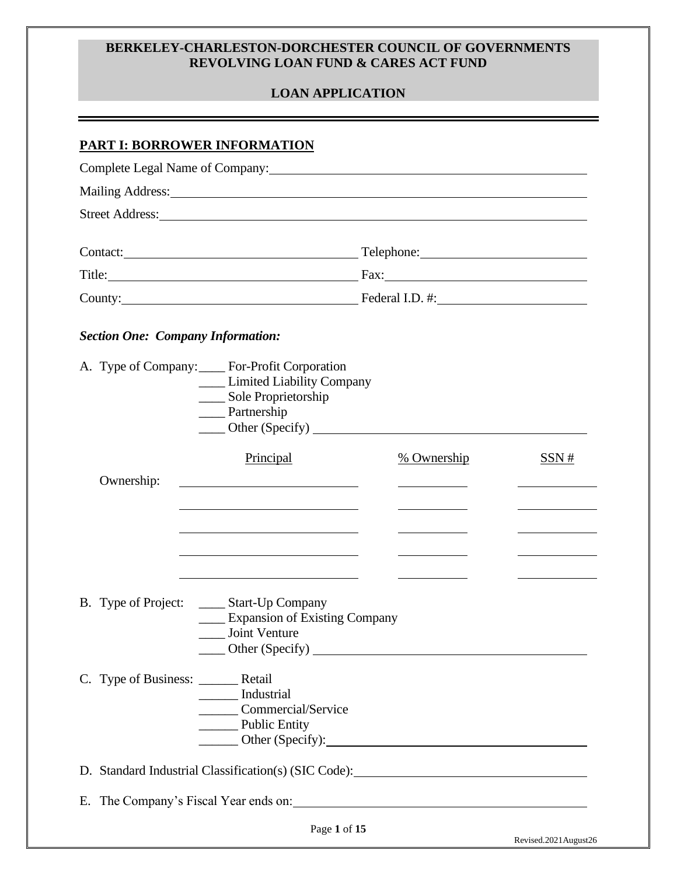### **BERKELEY-CHARLESTON-DORCHESTER COUNCIL OF GOVERNMENTS REVOLVING LOAN FUND & CARES ACT FUND**

## **LOAN APPLICATION**

## **PART I: BORROWER INFORMATION**

|                                                                                                                                                                                                                                |                                                                                                                                                                                                                                | Complete Legal Name of Company: 2008 and 2008 and 2008 and 2008 and 2008 and 2008 and 2008 and 2008 and 2008 and 2008 and 2008 and 2008 and 2008 and 2008 and 2008 and 2008 and 2008 and 2008 and 2008 and 2008 and 2008 and 2      |      |
|--------------------------------------------------------------------------------------------------------------------------------------------------------------------------------------------------------------------------------|--------------------------------------------------------------------------------------------------------------------------------------------------------------------------------------------------------------------------------|-------------------------------------------------------------------------------------------------------------------------------------------------------------------------------------------------------------------------------------|------|
|                                                                                                                                                                                                                                | Mailing Address: National Address: National Address: National Address: National Address: National Address: National Address: National Address: National Address: National Address: National Address: National Address: Nationa |                                                                                                                                                                                                                                     |      |
|                                                                                                                                                                                                                                |                                                                                                                                                                                                                                |                                                                                                                                                                                                                                     |      |
|                                                                                                                                                                                                                                |                                                                                                                                                                                                                                | Contact: <u>Contact:</u> Contact: Contact: Contact: Contact: Contact: Contact: Contact: Contact: Contact: Contact: Contact: Contact: Contact: Contact: Contact: Contact: Contact: Contact: Contact: Contact: Contact: Contact: Cont |      |
|                                                                                                                                                                                                                                |                                                                                                                                                                                                                                | Title: Fax: Fax:                                                                                                                                                                                                                    |      |
| County: County: County: County: County: County: County: County: County: County: County: County: County: County: County: County: County: County: County: County: County: County: County: County: County: County: County: County |                                                                                                                                                                                                                                |                                                                                                                                                                                                                                     |      |
| <b>Section One: Company Information:</b>                                                                                                                                                                                       |                                                                                                                                                                                                                                |                                                                                                                                                                                                                                     |      |
|                                                                                                                                                                                                                                | A. Type of Company: For-Profit Corporation<br>___ Limited Liability Company<br>____ Sole Proprietorship<br>____ Partnership                                                                                                    | $\frac{1}{2}$ Other (Specify) $\frac{1}{2}$                                                                                                                                                                                         |      |
|                                                                                                                                                                                                                                | Principal                                                                                                                                                                                                                      | <u>% Ownership</u>                                                                                                                                                                                                                  | SSN# |
| Ownership:                                                                                                                                                                                                                     |                                                                                                                                                                                                                                |                                                                                                                                                                                                                                     |      |
| B. Type of Project:                                                                                                                                                                                                            | _____ Start-Up Company<br><b>Expansion of Existing Company</b><br>Joint Venture<br>Other (Specify)                                                                                                                             | and the control of the control of the                                                                                                                                                                                               |      |
| C. Type of Business: ________ Retail                                                                                                                                                                                           | ______ Industrial<br>Commercial/Service<br>Public Entity                                                                                                                                                                       | Other (Specify):                                                                                                                                                                                                                    |      |
|                                                                                                                                                                                                                                |                                                                                                                                                                                                                                | D. Standard Industrial Classification(s) (SIC Code):                                                                                                                                                                                |      |
|                                                                                                                                                                                                                                |                                                                                                                                                                                                                                |                                                                                                                                                                                                                                     |      |
|                                                                                                                                                                                                                                | Page 1 of 15                                                                                                                                                                                                                   |                                                                                                                                                                                                                                     |      |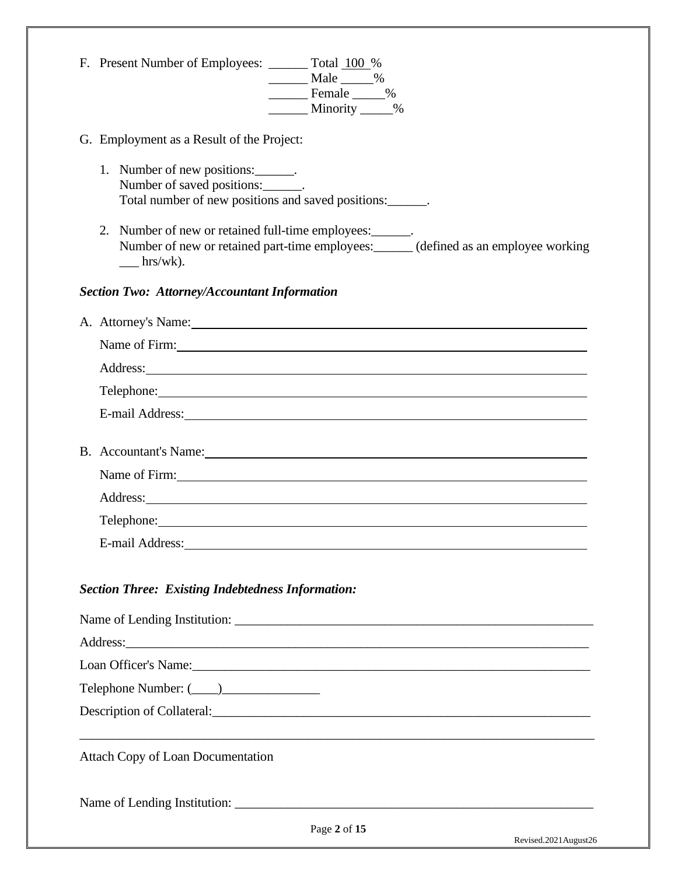|  | F. Present Number of Employees: _______ Total 100 %<br>$\frac{1}{2}$ Male $\frac{1}{2}$ %<br>Female 1%<br>Minority ____%                                                                                                             |  |  |  |  |
|--|--------------------------------------------------------------------------------------------------------------------------------------------------------------------------------------------------------------------------------------|--|--|--|--|
|  | G. Employment as a Result of the Project:                                                                                                                                                                                            |  |  |  |  |
|  | 1. Number of new positions: _______.<br>Number of saved positions:<br>Total number of new positions and saved positions:                                                                                                             |  |  |  |  |
|  | 2. Number of new or retained full-time employees: _______.<br>Number of new or retained part-time employees: _____ (defined as an employee working<br>$\frac{ln(x)}{x}$ .                                                            |  |  |  |  |
|  | <b>Section Two: Attorney/Accountant Information</b>                                                                                                                                                                                  |  |  |  |  |
|  | A. Attorney's Name: 1988. Attorney's Name:                                                                                                                                                                                           |  |  |  |  |
|  | Name of Firm:                                                                                                                                                                                                                        |  |  |  |  |
|  |                                                                                                                                                                                                                                      |  |  |  |  |
|  | Telephone: <u>and the contract of the contract of the contract of the contract of the contract of the contract of the contract of the contract of the contract of the contract of the contract of the contract of the contract o</u> |  |  |  |  |
|  | E-mail Address: No. 1996. The Contract of the Contract of the Contract of the Contract of the Contract of the Contract of the Contract of the Contract of the Contract of the Contract of the Contract of the Contract of the        |  |  |  |  |
|  | B. Accountant's Name:                                                                                                                                                                                                                |  |  |  |  |
|  | Name of Firm: 1000 million and the same state of the state of the state of the state of the state of the state of the state of the state of the state of the state of the state of the state of the state of the state of the        |  |  |  |  |
|  |                                                                                                                                                                                                                                      |  |  |  |  |
|  | Telephone: The contract of the contract of the contract of the contract of the contract of the contract of the contract of the contract of the contract of the contract of the contract of the contract of the contract of the       |  |  |  |  |
|  | E-mail Address:                                                                                                                                                                                                                      |  |  |  |  |
|  | <b>Section Three: Existing Indebtedness Information:</b>                                                                                                                                                                             |  |  |  |  |
|  |                                                                                                                                                                                                                                      |  |  |  |  |
|  | Address:                                                                                                                                                                                                                             |  |  |  |  |
|  |                                                                                                                                                                                                                                      |  |  |  |  |
|  |                                                                                                                                                                                                                                      |  |  |  |  |
|  |                                                                                                                                                                                                                                      |  |  |  |  |
|  | <b>Attach Copy of Loan Documentation</b>                                                                                                                                                                                             |  |  |  |  |
|  |                                                                                                                                                                                                                                      |  |  |  |  |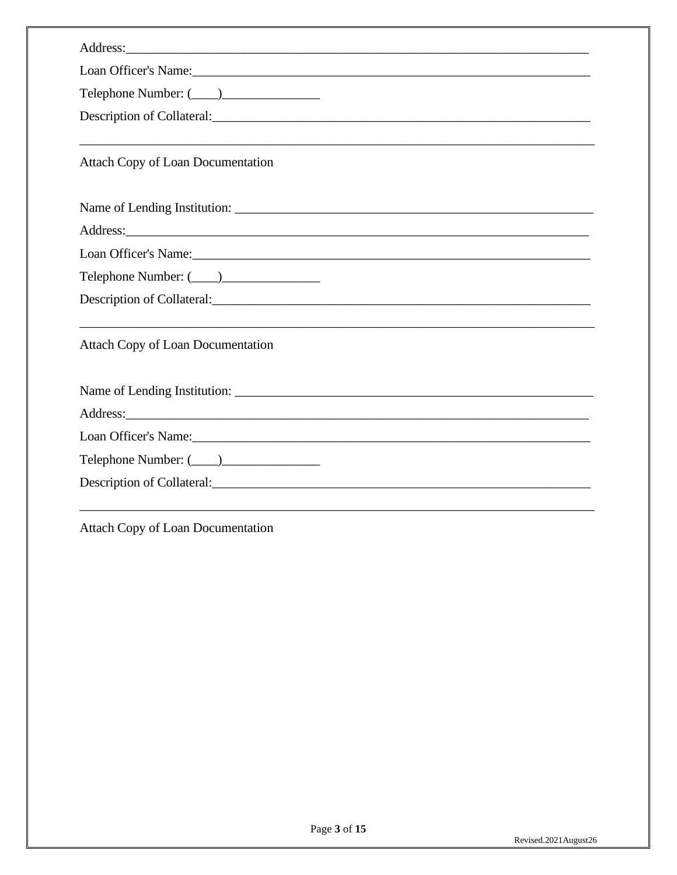| Address:                                                                                                                                                                                                                       |
|--------------------------------------------------------------------------------------------------------------------------------------------------------------------------------------------------------------------------------|
| Loan Officer's Name: 1988 Manual Contract of the Manual Contract of the Manual Contract of the Manual Contract of the Manual Contract of the Manual Contract of the Manual Contract of the Manual Contract of the Manual Contr |
|                                                                                                                                                                                                                                |
|                                                                                                                                                                                                                                |
| <b>Attach Copy of Loan Documentation</b>                                                                                                                                                                                       |
|                                                                                                                                                                                                                                |
|                                                                                                                                                                                                                                |
| Loan Officer's Name: 1988 and 1988 and 1988 and 1988 and 1988 and 1988 and 1988 and 1988 and 1988 and 1988 and 1988 and 1988 and 1988 and 1988 and 1988 and 1988 and 1988 and 1988 and 1988 and 1988 and 1988 and 1988 and 198 |
|                                                                                                                                                                                                                                |
| Description of Collateral: Contact Collateral Contact Collateral Contact Collateral Collateral Collateral Collateral Collateral Collateral Collateral Collateral Collateral Collateral Collateral Collateral Collateral Collat |
| ,我们也不能在这里的时候,我们也不能在这里的时候,我们也不能不能不能不能不能不能不能不能不能不能不能不能不能不能不能。""我们不能不能不能不能不能不能不能不能不能<br><b>Attach Copy of Loan Documentation</b>                                                                                                  |
|                                                                                                                                                                                                                                |
|                                                                                                                                                                                                                                |
| Loan Officer's Name:                                                                                                                                                                                                           |
|                                                                                                                                                                                                                                |
| Description of Collateral:                                                                                                                                                                                                     |

Attach Copy of Loan Documentation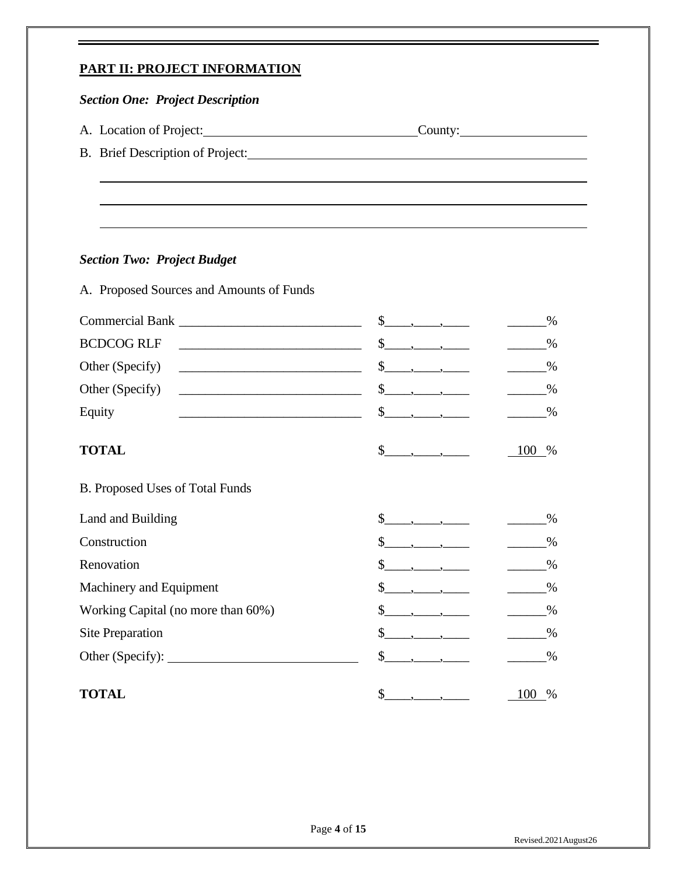## **PART II: PROJECT INFORMATION**

## *Section One: Project Description*

- A. Location of Project: County: County:
- B. Brief Description of Project:

### *Section Two: Project Budget*

A. Proposed Sources and Amounts of Funds

|                                                                                                 | \$                                                                                                                                                                                                                                                                                                                                                                    | %             |
|-------------------------------------------------------------------------------------------------|-----------------------------------------------------------------------------------------------------------------------------------------------------------------------------------------------------------------------------------------------------------------------------------------------------------------------------------------------------------------------|---------------|
| <b>BCDCOG RLF</b>                                                                               | $\mathbb{S}$                                                                                                                                                                                                                                                                                                                                                          | %             |
| Other (Specify)<br><u> 1989 - Johann Barbara, martxa alemaniar arg</u>                          | \$                                                                                                                                                                                                                                                                                                                                                                    | $\frac{0}{0}$ |
| Other (Specify)<br><u> 1989 - Johann Barn, mars ar breist fan de Amerikaanske kommunister (</u> | \$<br>$\overline{\phantom{a}}$ , $\overline{\phantom{a}}$ , $\overline{\phantom{a}}$                                                                                                                                                                                                                                                                                  | %             |
| Equity                                                                                          |                                                                                                                                                                                                                                                                                                                                                                       | %             |
| <b>TOTAL</b>                                                                                    | $\frac{\S_{\frac{1}{2}}}{\S_{\frac{1}{2}}\S_{\frac{1}{2}}\S_{\frac{1}{2}}\S_{\frac{1}{2}}\S_{\frac{1}{2}}\S_{\frac{1}{2}}\S_{\frac{1}{2}}\S_{\frac{1}{2}}\S_{\frac{1}{2}}\S_{\frac{1}{2}}\S_{\frac{1}{2}}\S_{\frac{1}{2}}\S_{\frac{1}{2}}\S_{\frac{1}{2}}\S_{\frac{1}{2}}\S_{\frac{1}{2}}\S_{\frac{1}{2}}\S_{\frac{1}{2}}\S_{\frac{1}{2}}\S_{\frac{1}{2}}\S_{\frac{1$ | 100<br>$\%$   |
| B. Proposed Uses of Total Funds                                                                 |                                                                                                                                                                                                                                                                                                                                                                       |               |
| Land and Building                                                                               | \$                                                                                                                                                                                                                                                                                                                                                                    | %             |
| Construction                                                                                    | \$                                                                                                                                                                                                                                                                                                                                                                    | %             |
| Renovation                                                                                      | \$                                                                                                                                                                                                                                                                                                                                                                    | %             |
| Machinery and Equipment                                                                         | \$                                                                                                                                                                                                                                                                                                                                                                    | %             |
| Working Capital (no more than 60%)                                                              | \$                                                                                                                                                                                                                                                                                                                                                                    | %             |
| Site Preparation                                                                                | \$                                                                                                                                                                                                                                                                                                                                                                    | %             |
|                                                                                                 | \$                                                                                                                                                                                                                                                                                                                                                                    | $\%$          |
| <b>TOTAL</b>                                                                                    | \$                                                                                                                                                                                                                                                                                                                                                                    | 100<br>%      |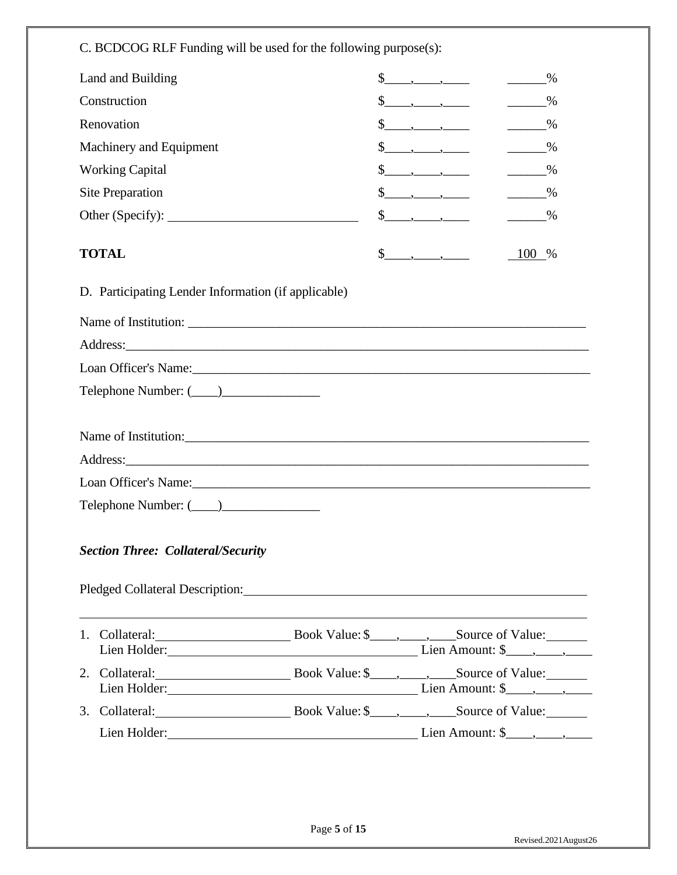C. BCDCOG RLF Funding will be used for the following purpose(s):

| Land and Building                                                                                                                                                                                                                   |                                                                                                           | $\%$          |
|-------------------------------------------------------------------------------------------------------------------------------------------------------------------------------------------------------------------------------------|-----------------------------------------------------------------------------------------------------------|---------------|
| Construction                                                                                                                                                                                                                        | $\{\underline{\hspace{1cm}},\underline{\hspace{1cm}},\underline{\hspace{1cm}},\underline{\hspace{1cm}}\}$ | $\%$          |
| Renovation                                                                                                                                                                                                                          |                                                                                                           | $\frac{9}{6}$ |
| Machinery and Equipment                                                                                                                                                                                                             | $\frac{\S_{\text{max}}}{\S_{\text{max}}}-\frac{\S_{\text{max}}}{\S_{\text{max}}}$                         | $\frac{9}{6}$ |
| <b>Working Capital</b>                                                                                                                                                                                                              | $\frac{\S_{\text{max}}}{\S_{\text{max}}}$                                                                 | $\frac{9}{6}$ |
| Site Preparation                                                                                                                                                                                                                    |                                                                                                           | $\frac{9}{6}$ |
|                                                                                                                                                                                                                                     | $\frac{\sqrt{2}}{2}$ , $\frac{\sqrt{2}}{2}$                                                               | $\frac{9}{6}$ |
| <b>TOTAL</b>                                                                                                                                                                                                                        |                                                                                                           | 100 %         |
| D. Participating Lender Information (if applicable)                                                                                                                                                                                 |                                                                                                           |               |
|                                                                                                                                                                                                                                     |                                                                                                           |               |
|                                                                                                                                                                                                                                     |                                                                                                           |               |
|                                                                                                                                                                                                                                     |                                                                                                           |               |
|                                                                                                                                                                                                                                     |                                                                                                           |               |
|                                                                                                                                                                                                                                     |                                                                                                           |               |
| Name of Institution:                                                                                                                                                                                                                |                                                                                                           |               |
| Address: <u>Address:</u> Address: Address: Address: Address: Address: Address: Address: Address: Address: Address: Address: Address: Address: Address: Address: Address: Address: Address: Address: Address: Address: Address: Addr |                                                                                                           |               |
| Loan Officer's Name: 2008 and 2008 and 2008 and 2008 and 2008 and 2008 and 2008 and 2008 and 2008 and 2008 and 2008 and 2008 and 2008 and 2008 and 2008 and 2008 and 2008 and 2008 and 2008 and 2008 and 2008 and 2008 and 200      |                                                                                                           |               |
|                                                                                                                                                                                                                                     |                                                                                                           |               |
| <b>Section Three: Collateral/Security</b>                                                                                                                                                                                           |                                                                                                           |               |
| Pledged Collateral Description: Campbell and Collateral Description:                                                                                                                                                                |                                                                                                           |               |
|                                                                                                                                                                                                                                     |                                                                                                           |               |
|                                                                                                                                                                                                                                     |                                                                                                           |               |
|                                                                                                                                                                                                                                     |                                                                                                           |               |
|                                                                                                                                                                                                                                     |                                                                                                           |               |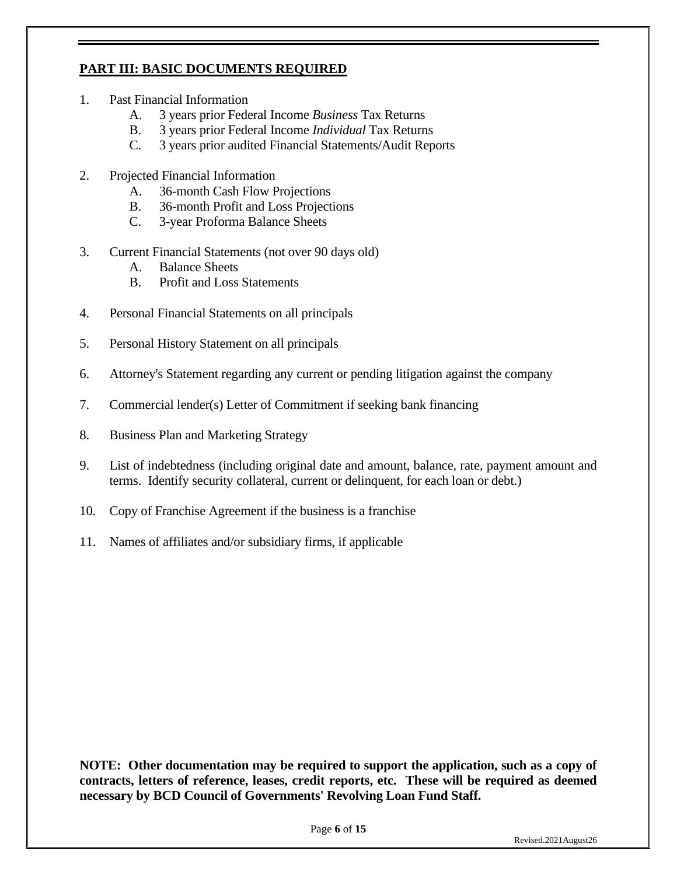## **PART III: BASIC DOCUMENTS REQUIRED**

- 1. Past Financial Information
	- A. 3 years prior Federal Income *Business* Tax Returns
	- B. 3 years prior Federal Income *Individual* Tax Returns
	- C. 3 years prior audited Financial Statements/Audit Reports
- 2. Projected Financial Information
	- A. 36-month Cash Flow Projections
	- B. 36-month Profit and Loss Projections
	- C. 3-year Proforma Balance Sheets
- 3. Current Financial Statements (not over 90 days old)
	- A. Balance Sheets
	- B. Profit and Loss Statements
- 4. Personal Financial Statements on all principals
- 5. Personal History Statement on all principals
- 6. Attorney's Statement regarding any current or pending litigation against the company
- 7. Commercial lender(s) Letter of Commitment if seeking bank financing
- 8. Business Plan and Marketing Strategy
- 9. List of indebtedness (including original date and amount, balance, rate, payment amount and terms. Identify security collateral, current or delinquent, for each loan or debt.)
- 10. Copy of Franchise Agreement if the business is a franchise
- 11. Names of affiliates and/or subsidiary firms, if applicable

**NOTE: Other documentation may be required to support the application, such as a copy of contracts, letters of reference, leases, credit reports, etc. These will be required as deemed necessary by BCD Council of Governments' Revolving Loan Fund Staff.**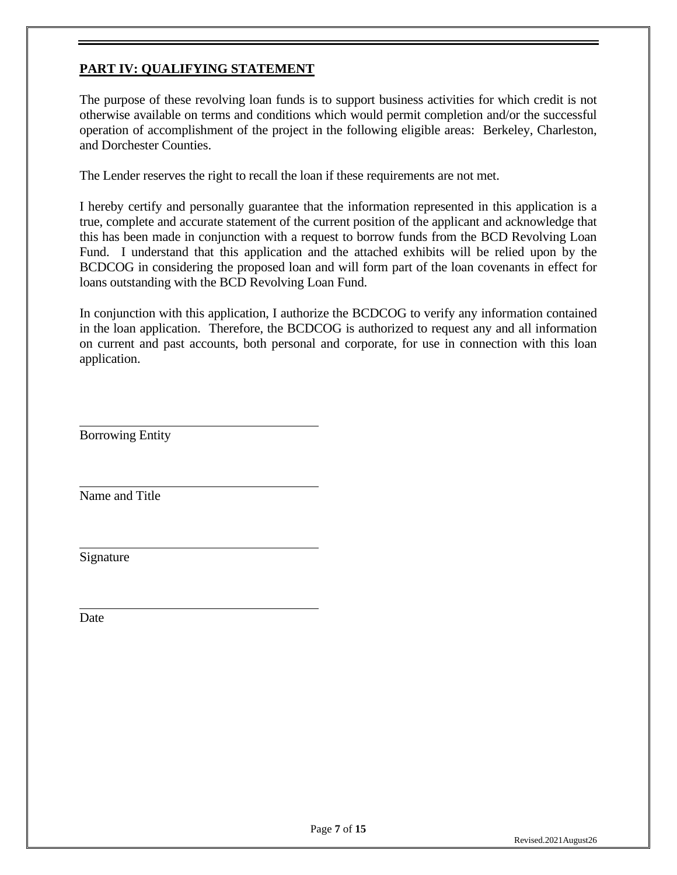## **PART IV: QUALIFYING STATEMENT**

The purpose of these revolving loan funds is to support business activities for which credit is not otherwise available on terms and conditions which would permit completion and/or the successful operation of accomplishment of the project in the following eligible areas: Berkeley, Charleston, and Dorchester Counties.

The Lender reserves the right to recall the loan if these requirements are not met.

I hereby certify and personally guarantee that the information represented in this application is a true, complete and accurate statement of the current position of the applicant and acknowledge that this has been made in conjunction with a request to borrow funds from the BCD Revolving Loan Fund. I understand that this application and the attached exhibits will be relied upon by the BCDCOG in considering the proposed loan and will form part of the loan covenants in effect for loans outstanding with the BCD Revolving Loan Fund.

In conjunction with this application, I authorize the BCDCOG to verify any information contained in the loan application. Therefore, the BCDCOG is authorized to request any and all information on current and past accounts, both personal and corporate, for use in connection with this loan application.

Borrowing Entity

Name and Title

Signature

**Date**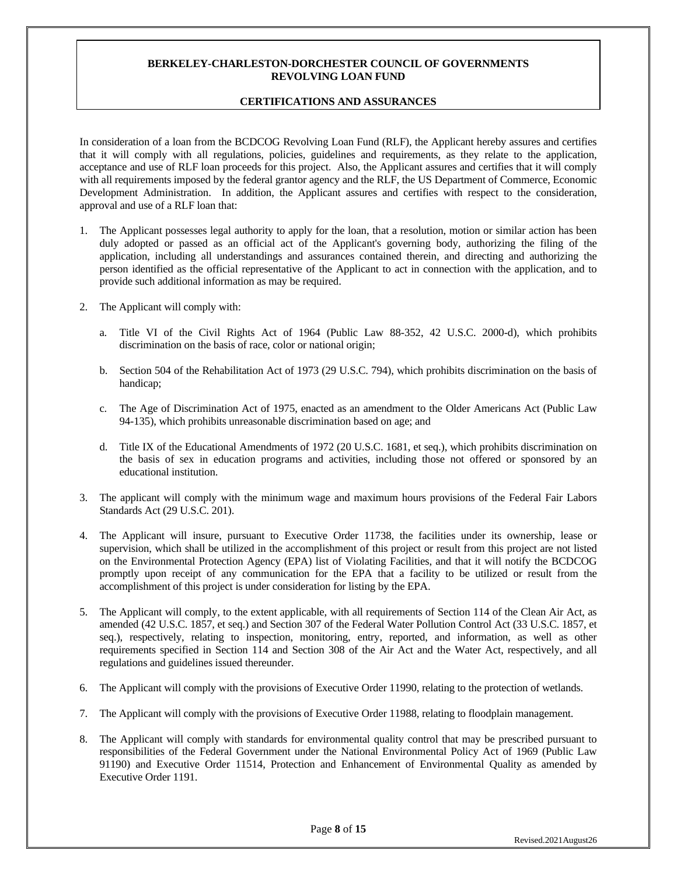#### **CERTIFICATIONS AND ASSURANCES**

In consideration of a loan from the BCDCOG Revolving Loan Fund (RLF), the Applicant hereby assures and certifies that it will comply with all regulations, policies, guidelines and requirements, as they relate to the application, acceptance and use of RLF loan proceeds for this project. Also, the Applicant assures and certifies that it will comply with all requirements imposed by the federal grantor agency and the RLF, the US Department of Commerce, Economic Development Administration. In addition, the Applicant assures and certifies with respect to the consideration, approval and use of a RLF loan that:

- 1. The Applicant possesses legal authority to apply for the loan, that a resolution, motion or similar action has been duly adopted or passed as an official act of the Applicant's governing body, authorizing the filing of the application, including all understandings and assurances contained therein, and directing and authorizing the person identified as the official representative of the Applicant to act in connection with the application, and to provide such additional information as may be required.
- 2. The Applicant will comply with:
	- a. Title VI of the Civil Rights Act of 1964 (Public Law 88-352, 42 U.S.C. 2000-d), which prohibits discrimination on the basis of race, color or national origin;
	- b. Section 504 of the Rehabilitation Act of 1973 (29 U.S.C. 794), which prohibits discrimination on the basis of handicap;
	- c. The Age of Discrimination Act of 1975, enacted as an amendment to the Older Americans Act (Public Law 94-135), which prohibits unreasonable discrimination based on age; and
	- d. Title IX of the Educational Amendments of 1972 (20 U.S.C. 1681, et seq.), which prohibits discrimination on the basis of sex in education programs and activities, including those not offered or sponsored by an educational institution.
- 3. The applicant will comply with the minimum wage and maximum hours provisions of the Federal Fair Labors Standards Act (29 U.S.C. 201).
- 4. The Applicant will insure, pursuant to Executive Order 11738, the facilities under its ownership, lease or supervision, which shall be utilized in the accomplishment of this project or result from this project are not listed on the Environmental Protection Agency (EPA) list of Violating Facilities, and that it will notify the BCDCOG promptly upon receipt of any communication for the EPA that a facility to be utilized or result from the accomplishment of this project is under consideration for listing by the EPA.
- 5. The Applicant will comply, to the extent applicable, with all requirements of Section 114 of the Clean Air Act, as amended (42 U.S.C. 1857, et seq.) and Section 307 of the Federal Water Pollution Control Act (33 U.S.C. 1857, et seq.), respectively, relating to inspection, monitoring, entry, reported, and information, as well as other requirements specified in Section 114 and Section 308 of the Air Act and the Water Act, respectively, and all regulations and guidelines issued thereunder.
- 6. The Applicant will comply with the provisions of Executive Order 11990, relating to the protection of wetlands.
- 7. The Applicant will comply with the provisions of Executive Order 11988, relating to floodplain management.
- 8. The Applicant will comply with standards for environmental quality control that may be prescribed pursuant to responsibilities of the Federal Government under the National Environmental Policy Act of 1969 (Public Law 91190) and Executive Order 11514, Protection and Enhancement of Environmental Quality as amended by Executive Order 1191.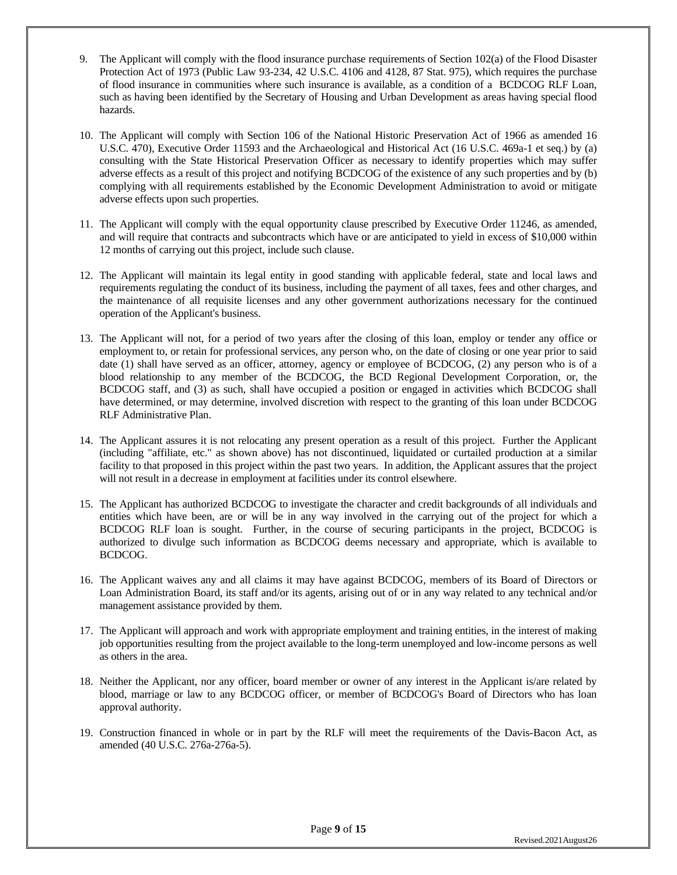- 9. The Applicant will comply with the flood insurance purchase requirements of Section 102(a) of the Flood Disaster Protection Act of 1973 (Public Law 93-234, 42 U.S.C. 4106 and 4128, 87 Stat. 975), which requires the purchase of flood insurance in communities where such insurance is available, as a condition of a BCDCOG RLF Loan, such as having been identified by the Secretary of Housing and Urban Development as areas having special flood hazards.
- 10. The Applicant will comply with Section 106 of the National Historic Preservation Act of 1966 as amended 16 U.S.C. 470), Executive Order 11593 and the Archaeological and Historical Act (16 U.S.C. 469a-1 et seq.) by (a) consulting with the State Historical Preservation Officer as necessary to identify properties which may suffer adverse effects as a result of this project and notifying BCDCOG of the existence of any such properties and by (b) complying with all requirements established by the Economic Development Administration to avoid or mitigate adverse effects upon such properties.
- 11. The Applicant will comply with the equal opportunity clause prescribed by Executive Order 11246, as amended, and will require that contracts and subcontracts which have or are anticipated to yield in excess of \$10,000 within 12 months of carrying out this project, include such clause.
- 12. The Applicant will maintain its legal entity in good standing with applicable federal, state and local laws and requirements regulating the conduct of its business, including the payment of all taxes, fees and other charges, and the maintenance of all requisite licenses and any other government authorizations necessary for the continued operation of the Applicant's business.
- 13. The Applicant will not, for a period of two years after the closing of this loan, employ or tender any office or employment to, or retain for professional services, any person who, on the date of closing or one year prior to said date (1) shall have served as an officer, attorney, agency or employee of BCDCOG, (2) any person who is of a blood relationship to any member of the BCDCOG, the BCD Regional Development Corporation, or, the BCDCOG staff, and (3) as such, shall have occupied a position or engaged in activities which BCDCOG shall have determined, or may determine, involved discretion with respect to the granting of this loan under BCDCOG RLF Administrative Plan.
- 14. The Applicant assures it is not relocating any present operation as a result of this project. Further the Applicant (including "affiliate, etc." as shown above) has not discontinued, liquidated or curtailed production at a similar facility to that proposed in this project within the past two years. In addition, the Applicant assures that the project will not result in a decrease in employment at facilities under its control elsewhere.
- 15. The Applicant has authorized BCDCOG to investigate the character and credit backgrounds of all individuals and entities which have been, are or will be in any way involved in the carrying out of the project for which a BCDCOG RLF loan is sought. Further, in the course of securing participants in the project, BCDCOG is authorized to divulge such information as BCDCOG deems necessary and appropriate, which is available to BCDCOG.
- 16. The Applicant waives any and all claims it may have against BCDCOG, members of its Board of Directors or Loan Administration Board, its staff and/or its agents, arising out of or in any way related to any technical and/or management assistance provided by them.
- 17. The Applicant will approach and work with appropriate employment and training entities, in the interest of making job opportunities resulting from the project available to the long-term unemployed and low-income persons as well as others in the area.
- 18. Neither the Applicant, nor any officer, board member or owner of any interest in the Applicant is/are related by blood, marriage or law to any BCDCOG officer, or member of BCDCOG's Board of Directors who has loan approval authority.
- 19. Construction financed in whole or in part by the RLF will meet the requirements of the Davis-Bacon Act, as amended (40 U.S.C. 276a-276a-5).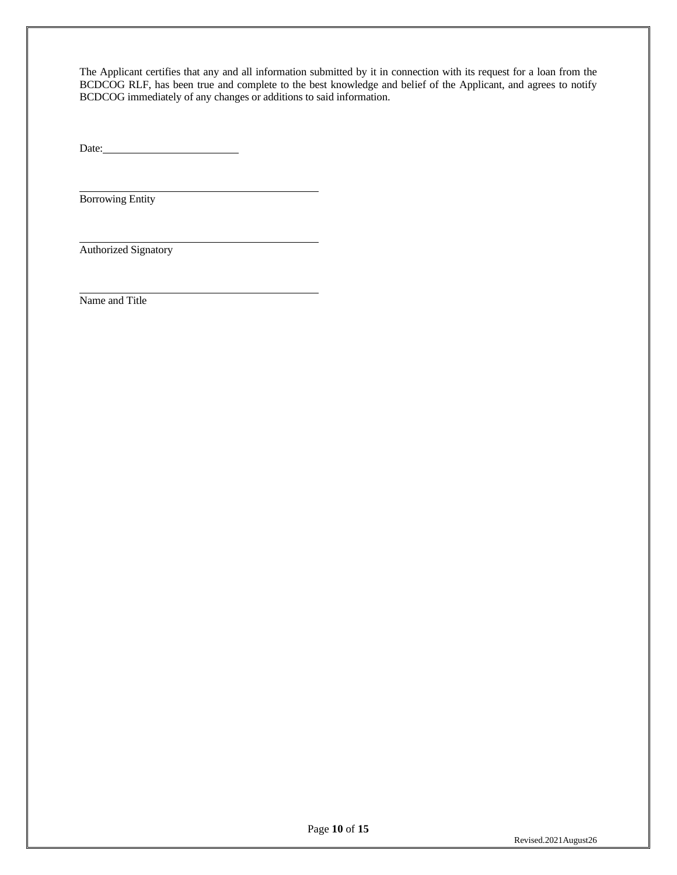The Applicant certifies that any and all information submitted by it in connection with its request for a loan from the BCDCOG RLF, has been true and complete to the best knowledge and belief of the Applicant, and agrees to notify BCDCOG immediately of any changes or additions to said information.

 $Date:$ 

Borrowing Entity

Authorized Signatory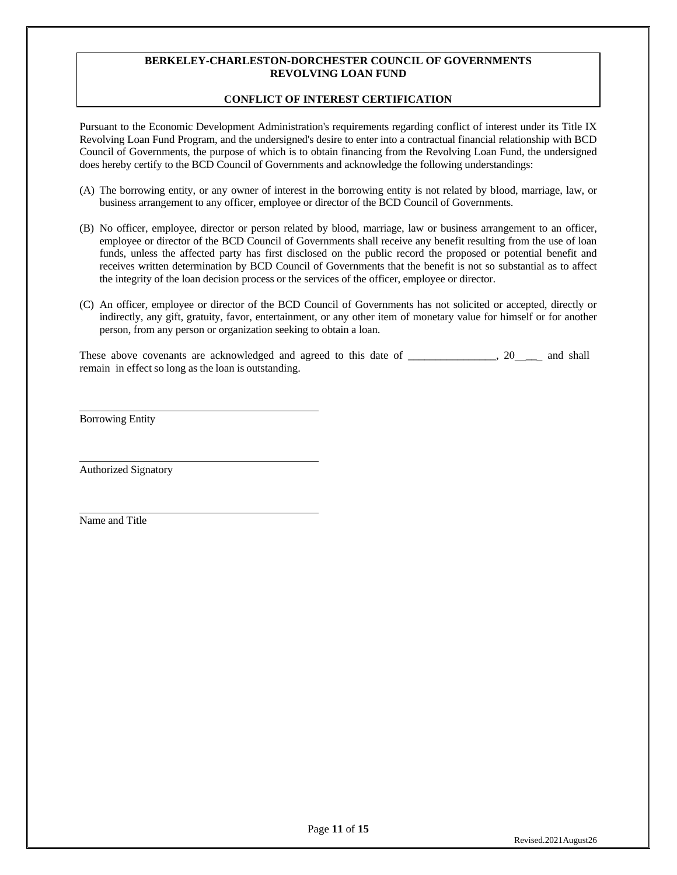### **CONFLICT OF INTEREST CERTIFICATION**

Pursuant to the Economic Development Administration's requirements regarding conflict of interest under its Title IX Revolving Loan Fund Program, and the undersigned's desire to enter into a contractual financial relationship with BCD Council of Governments, the purpose of which is to obtain financing from the Revolving Loan Fund, the undersigned does hereby certify to the BCD Council of Governments and acknowledge the following understandings:

- (A) The borrowing entity, or any owner of interest in the borrowing entity is not related by blood, marriage, law, or business arrangement to any officer, employee or director of the BCD Council of Governments.
- (B) No officer, employee, director or person related by blood, marriage, law or business arrangement to an officer, employee or director of the BCD Council of Governments shall receive any benefit resulting from the use of loan funds, unless the affected party has first disclosed on the public record the proposed or potential benefit and receives written determination by BCD Council of Governments that the benefit is not so substantial as to affect the integrity of the loan decision process or the services of the officer, employee or director.
- (C) An officer, employee or director of the BCD Council of Governments has not solicited or accepted, directly or indirectly, any gift, gratuity, favor, entertainment, or any other item of monetary value for himself or for another person, from any person or organization seeking to obtain a loan.

These above covenants are acknowledged and agreed to this date of \_\_\_\_\_\_\_\_\_\_\_\_\_\_, 20 \_\_\_ and shall remain in effect so long as the loan is outstanding.

Borrowing Entity

Authorized Signatory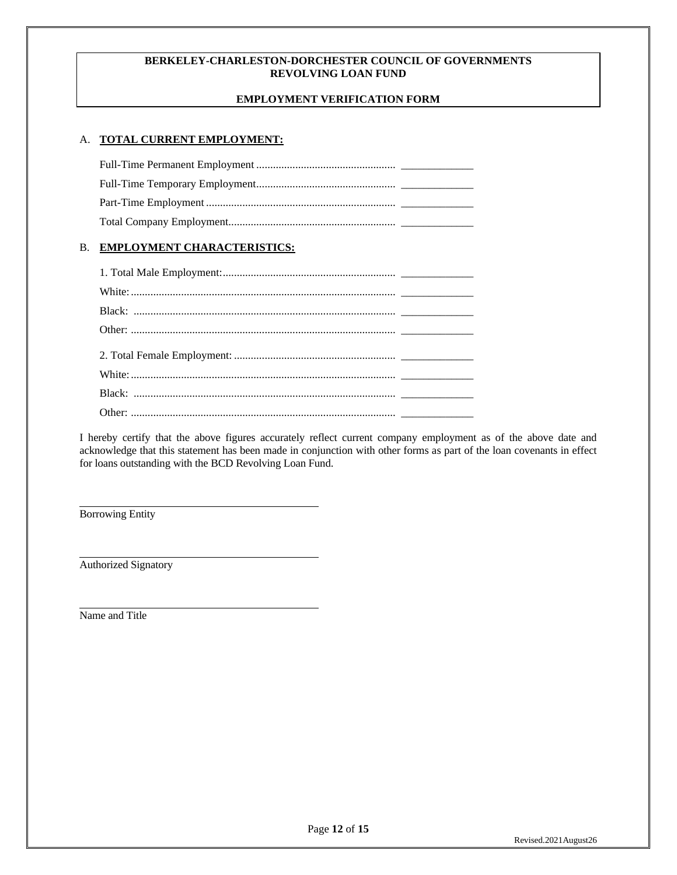### **EMPLOYMENT VERIFICATION FORM**

### A. **TOTAL CURRENT EMPLOYMENT:**

### B. **EMPLOYMENT CHARACTERISTICS:**

I hereby certify that the above figures accurately reflect current company employment as of the above date and acknowledge that this statement has been made in conjunction with other forms as part of the loan covenants in effect for loans outstanding with the BCD Revolving Loan Fund.

Borrowing Entity

Authorized Signatory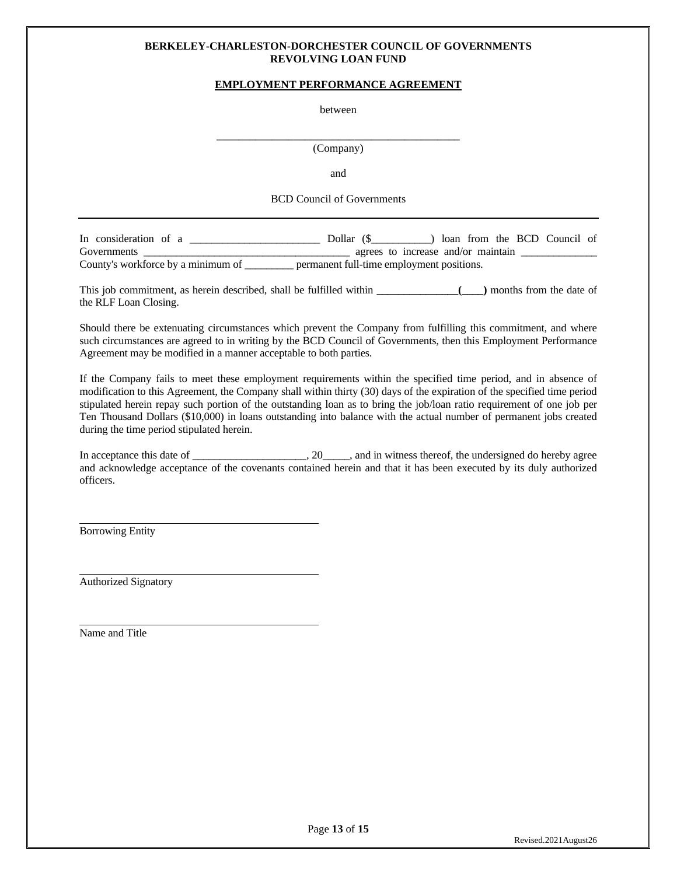#### **EMPLOYMENT PERFORMANCE AGREEMENT**

between

\_\_\_\_\_\_\_\_\_\_\_\_\_\_\_\_\_\_\_\_\_\_\_\_\_\_\_\_\_\_\_\_\_\_\_\_\_\_\_\_\_\_\_\_ (Company)

and

BCD Council of Governments

In consideration of a \_\_\_\_\_\_\_\_\_\_\_\_\_\_\_\_\_\_\_\_\_\_\_\_ Dollar (\$\_\_\_\_\_\_\_\_\_\_\_) loan from the BCD Council of Governments \_\_\_\_\_\_\_\_\_\_\_\_\_\_\_\_\_\_\_\_\_\_\_\_\_\_\_\_\_\_\_\_\_\_\_\_\_\_ agrees to increase and/or maintain \_\_\_\_\_\_\_\_\_\_\_\_\_\_ County's workforce by a minimum of \_\_\_\_\_\_\_\_\_ permanent full-time employment positions.

This job commitment, as herein described, shall be fulfilled within **\_\_\_\_\_\_\_\_\_\_\_\_\_\_\_(\_\_\_\_)** months from the date of the RLF Loan Closing.

Should there be extenuating circumstances which prevent the Company from fulfilling this commitment, and where such circumstances are agreed to in writing by the BCD Council of Governments, then this Employment Performance Agreement may be modified in a manner acceptable to both parties.

If the Company fails to meet these employment requirements within the specified time period, and in absence of modification to this Agreement, the Company shall within thirty (30) days of the expiration of the specified time period stipulated herein repay such portion of the outstanding loan as to bring the job/loan ratio requirement of one job per Ten Thousand Dollars (\$10,000) in loans outstanding into balance with the actual number of permanent jobs created during the time period stipulated herein.

In acceptance this date of \_\_\_\_\_\_\_\_\_\_\_\_\_\_\_\_, 20\_\_\_\_, and in witness thereof, the undersigned do hereby agree and acknowledge acceptance of the covenants contained herein and that it has been executed by its duly authorized officers.

Borrowing Entity

Authorized Signatory

Name and Title

Page **13** of **15**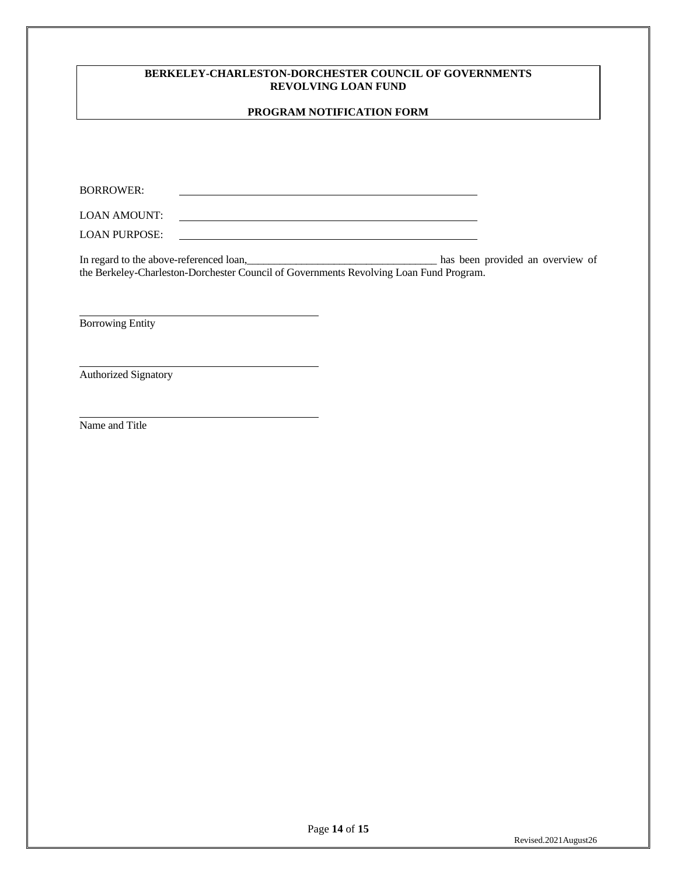#### **PROGRAM NOTIFICATION FORM**

BORROWER:

LOAN AMOUNT: 

LOAN PURPOSE:

In regard to the above-referenced loan,\_\_\_\_\_\_\_\_\_\_\_\_\_\_\_\_\_\_\_\_\_\_\_\_\_\_\_\_\_\_\_\_\_\_\_ has been provided an overview of the Berkeley-Charleston-Dorchester Council of Governments Revolving Loan Fund Program.

Borrowing Entity

Authorized Signatory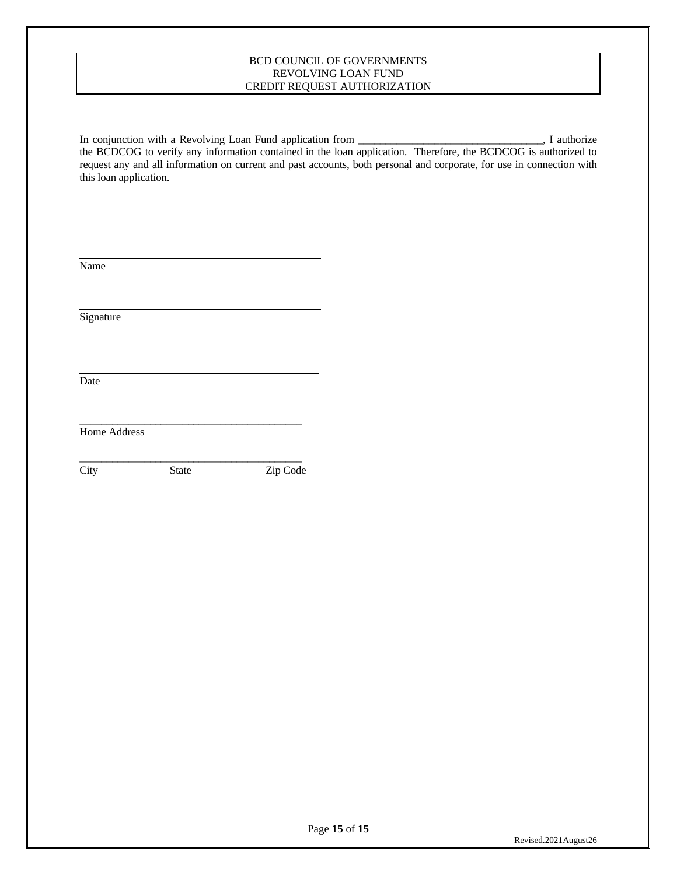#### BCD COUNCIL OF GOVERNMENTS REVOLVING LOAN FUND CREDIT REQUEST AUTHORIZATION

In conjunction with a Revolving Loan Fund application from \_\_\_\_\_\_\_\_\_\_\_\_\_\_\_\_\_\_\_\_\_\_\_\_\_\_\_\_\_\_\_, I authorize the BCDCOG to verify any information contained in the loan application. Therefore, the BCDCOG is authorized to request any and all information on current and past accounts, both personal and corporate, for use in connection with this loan application.

| Name                |              |          |
|---------------------|--------------|----------|
| Signature           |              |          |
| Date                |              |          |
| <b>Home Address</b> |              |          |
| City                | <b>State</b> | Zip Code |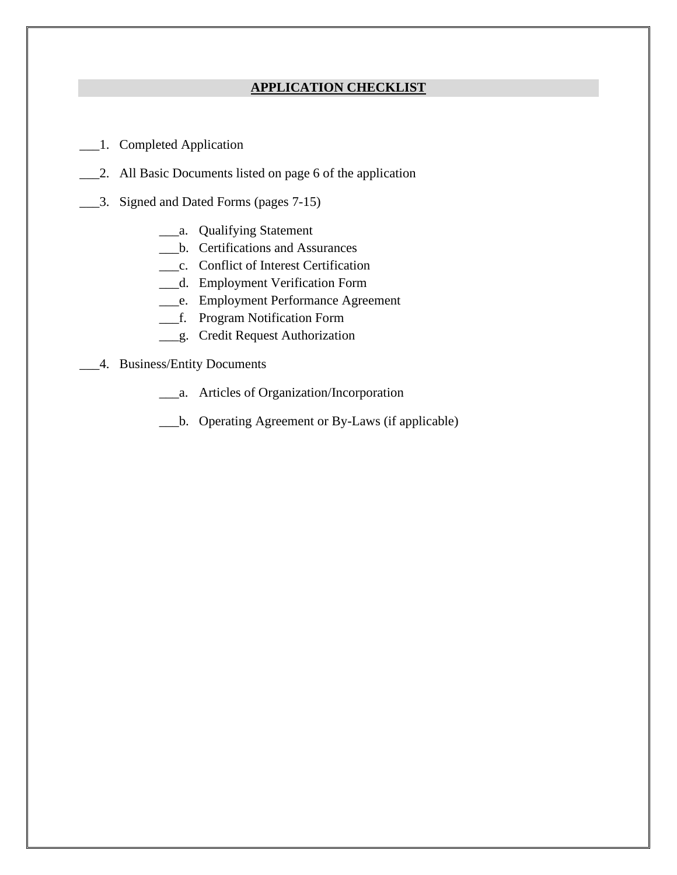## **APPLICATION CHECKLIST**

- \_\_\_1. Completed Application
- \_\_\_2. All Basic Documents listed on page 6 of the application
- \_\_\_3. Signed and Dated Forms (pages 7-15)
	- \_\_\_a. Qualifying Statement
	- \_\_\_b. Certifications and Assurances
	- \_\_\_c. Conflict of Interest Certification
	- \_\_\_d. Employment Verification Form
	- \_\_\_e. Employment Performance Agreement
	- \_\_\_f. Program Notification Form
	- \_\_\_g. Credit Request Authorization
- \_\_\_4. Business/Entity Documents
	- \_\_\_a. Articles of Organization/Incorporation
	- \_\_\_b. Operating Agreement or By-Laws (if applicable)